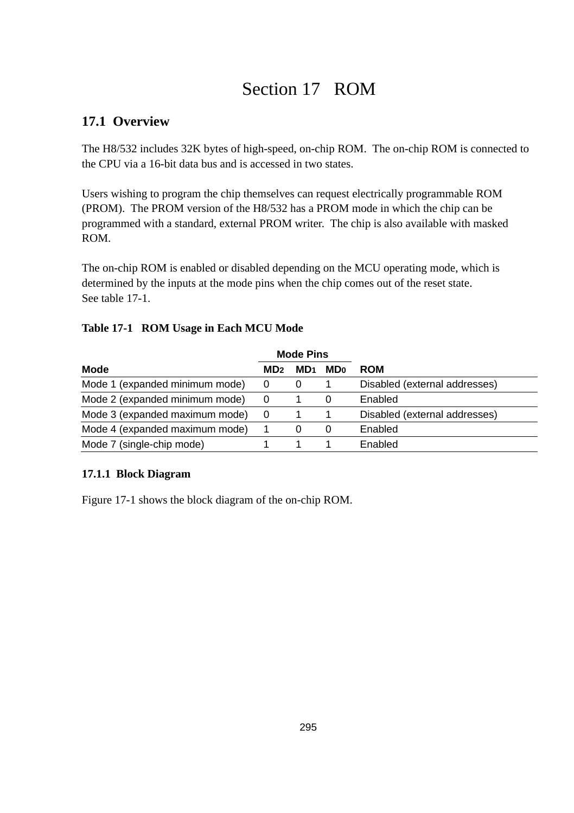# Section 17 ROM

# **17.1 Overview**

The H8/532 includes 32K bytes of high-speed, on-chip ROM. The on-chip ROM is connected to the CPU via a 16-bit data bus and is accessed in two states.

Users wishing to program the chip themselves can request electrically programmable ROM (PROM). The PROM version of the H8/532 has a PROM mode in which the chip can be programmed with a standard, external PROM writer. The chip is also available with masked ROM.

The on-chip ROM is enabled or disabled depending on the MCU operating mode, which is determined by the inputs at the mode pins when the chip comes out of the reset state. See table 17-1.

|                                | <b>Mode Pins</b> |                 |                        |                               |
|--------------------------------|------------------|-----------------|------------------------|-------------------------------|
| Mode                           | MD <sub>2</sub>  | MD <sub>1</sub> | <b>MD</b> <sub>0</sub> | <b>ROM</b>                    |
| Mode 1 (expanded minimum mode) | 0                |                 |                        | Disabled (external addresses) |
| Mode 2 (expanded minimum mode) | 0                |                 | 0                      | Enabled                       |
| Mode 3 (expanded maximum mode) | 0                |                 |                        | Disabled (external addresses) |
| Mode 4 (expanded maximum mode) |                  | 0               | 0                      | Enabled                       |
| Mode 7 (single-chip mode)      |                  |                 |                        | Enabled                       |

#### **Table 17-1 ROM Usage in Each MCU Mode**

#### **17.1.1 Block Diagram**

Figure 17-1 shows the block diagram of the on-chip ROM.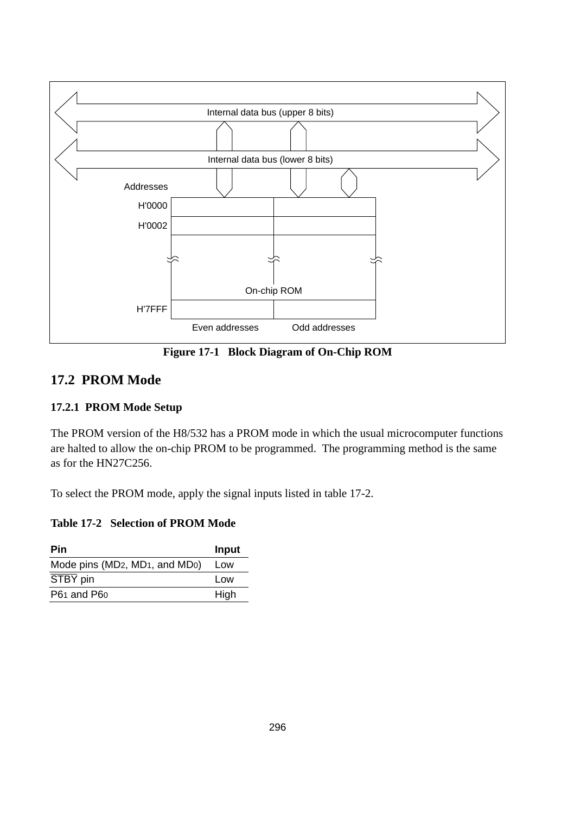

**Figure 17-1 Block Diagram of On-Chip ROM**

### **17.2 PROM Mode**

#### **17.2.1 PROM Mode Setup**

The PROM version of the H8/532 has a PROM mode in which the usual microcomputer functions are halted to allow the on-chip PROM to be programmed. The programming method is the same as for the HN27C256.

To select the PROM mode, apply the signal inputs listed in table 17-2.

#### **Table 17-2 Selection of PROM Mode**

| Pin                                                                  | Input |
|----------------------------------------------------------------------|-------|
| Mode pins (MD <sub>2</sub> , MD <sub>1</sub> , and MD <sub>0</sub> ) | Low   |
| STBY pin                                                             | Low   |
| P61 and P60                                                          | High  |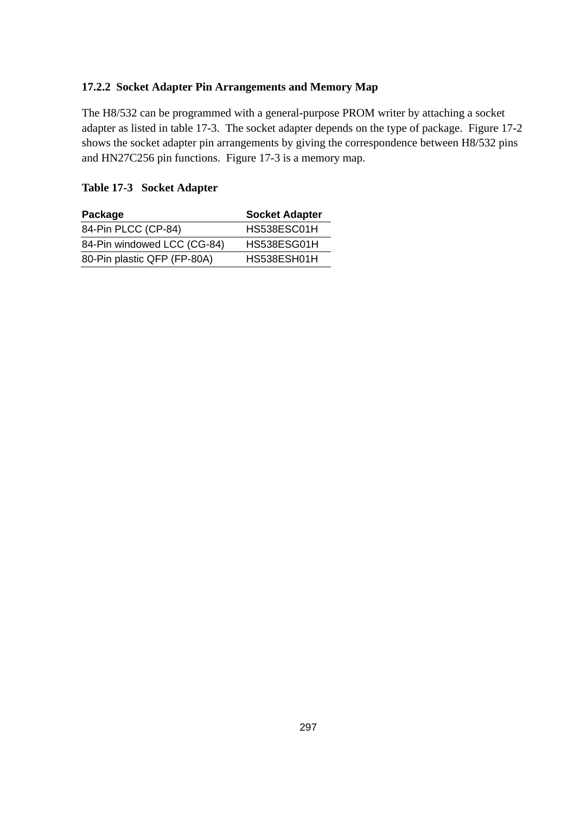#### **17.2.2 Socket Adapter Pin Arrangements and Memory Map**

The H8/532 can be programmed with a general-purpose PROM writer by attaching a socket adapter as listed in table 17-3. The socket adapter depends on the type of package. Figure 17-2 shows the socket adapter pin arrangements by giving the correspondence between H8/532 pins and HN27C256 pin functions. Figure 17-3 is a memory map.

#### **Table 17-3 Socket Adapter**

| Package                     | <b>Socket Adapter</b> |
|-----------------------------|-----------------------|
| 84-Pin PLCC (CP-84)         | HS538ESC01H           |
| 84-Pin windowed LCC (CG-84) | HS538ESG01H           |
| 80-Pin plastic QFP (FP-80A) | HS538ESH01H           |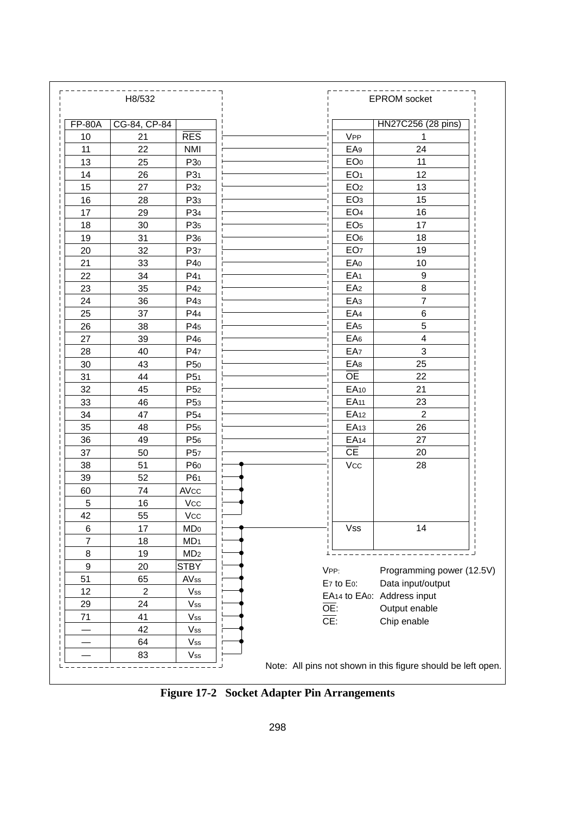

**Figure 17-2 Socket Adapter Pin Arrangements**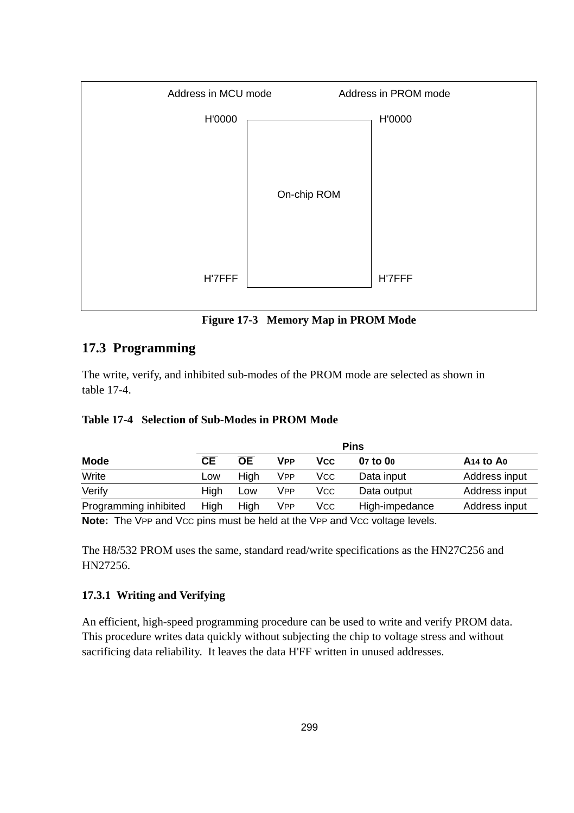

**Figure 17-3 Memory Map in PROM Mode**

# **17.3 Programming**

The write, verify, and inhibited sub-modes of the PROM mode are selected as shown in table 17-4.

#### **Table 17-4 Selection of Sub-Modes in PROM Mode**

|                       | <b>Pins</b> |           |            |     |                |                                   |  |
|-----------------------|-------------|-----------|------------|-----|----------------|-----------------------------------|--|
| <b>Mode</b>           | CЕ          | <b>OE</b> | VPP        | Vcc | 07 to 00       | A <sub>14</sub> to A <sub>0</sub> |  |
| Write                 | Low         | Hiah      | <b>VPP</b> | Vcc | Data input     | Address input                     |  |
| Verify                | Hiah        | Low       | VPP        | Vcc | Data output    | Address input                     |  |
| Programming inhibited | High        | High      | <b>VPP</b> | Vcc | High-impedance | Address input                     |  |

**Note:** The VPP and Vcc pins must be held at the VPP and Vcc voltage levels.

The H8/532 PROM uses the same, standard read/write specifications as the HN27C256 and HN27256.

#### **17.3.1 Writing and Verifying**

An efficient, high-speed programming procedure can be used to write and verify PROM data. This procedure writes data quickly without subjecting the chip to voltage stress and without sacrificing data reliability. It leaves the data H'FF written in unused addresses.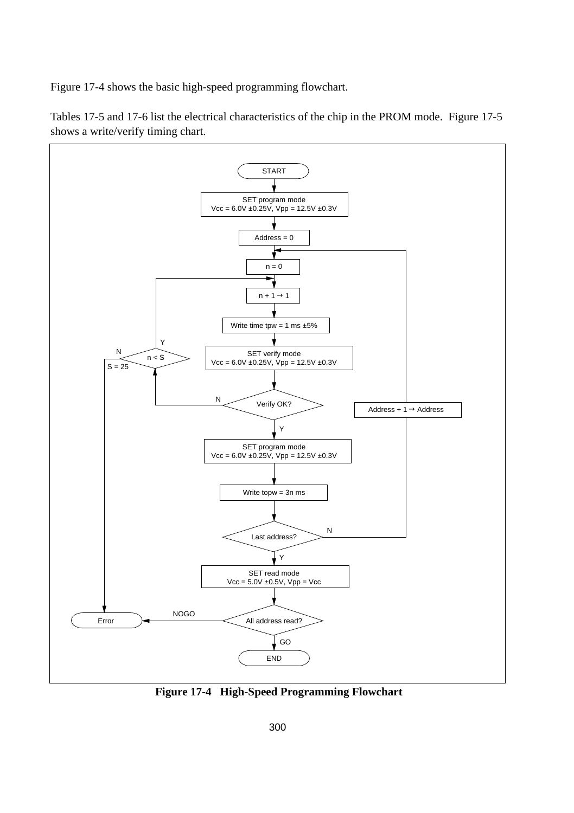Figure 17-4 shows the basic high-speed programming flowchart.

Tables 17-5 and 17-6 list the electrical characteristics of the chip in the PROM mode. Figure 17-5 shows a write/verify timing chart.



**Figure 17-4 High-Speed Programming Flowchart**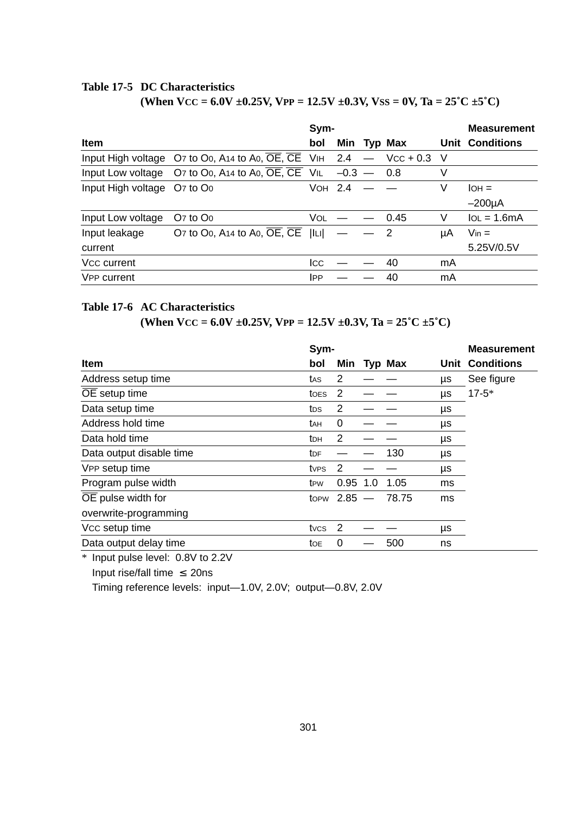#### **Table 17-5 DC Characteristics**

(When  $VCC = 6.0V \pm 0.25V$ ,  $VPP = 12.5V \pm 0.3V$ ,  $VSS = 0V$ ,  $Ta = 25^{\circ}C \pm 5^{\circ}C$ )

|                             |                                                                                                                               | Sym-       |              |                            |     | <b>Measurement</b>     |
|-----------------------------|-------------------------------------------------------------------------------------------------------------------------------|------------|--------------|----------------------------|-----|------------------------|
| Item                        |                                                                                                                               | bol        |              | Min Typ Max                |     | <b>Unit Conditions</b> |
|                             | Input High voltage $O$ 7 to $O_0$ , A <sub>14</sub> to A <sub>0</sub> , $\overline{OE}$ , $\overline{CE}$ V <sub>IH</sub> 2.4 |            |              | $Vcc + 0.3$                | - V |                        |
|                             | Input Low voltage $O7$ to $O0$ , A14 to A0, $\overline{OE}$ , $\overline{CE}$ VIL                                             |            | $-0.3 - 0.8$ |                            | V   |                        |
| Input High voltage O7 to Oo |                                                                                                                               | VOH 2.4    |              |                            | V   | $IOH =$                |
|                             |                                                                                                                               |            |              |                            |     | $-200\mu A$            |
| Input Low voltage           | $O7$ to $O0$                                                                                                                  | VOL        |              | 0.45                       | V   | $IoL = 1.6mA$          |
| Input leakage               | O7 to O0, A14 to A0, OE, CE                                                                                                   | L          |              | $\overline{\phantom{0}}^2$ | μA  | $V_{\text{in}} =$      |
| current                     |                                                                                                                               |            |              |                            |     | 5.25V/0.5V             |
| Vcc current                 |                                                                                                                               | Icc        |              | 40                         | mA  |                        |
| V <sub>PP</sub> current     |                                                                                                                               | <b>IPP</b> |              | 40                         | mA  |                        |

#### **Table 17-6 AC Characteristics**

**(When VCC** =  $6.0V \pm 0.25V$ , VPP =  $12.5V \pm 0.3V$ , Ta =  $25^{\circ}C \pm 5^{\circ}C$ )

|                            | Sym-            |                |     |         |    | <b>Measurement</b>     |
|----------------------------|-----------------|----------------|-----|---------|----|------------------------|
| Item                       | bol             | Min            |     | Typ Max |    | <b>Unit Conditions</b> |
| Address setup time         | tas             | 2              |     |         | μs | See figure             |
| $\overline{OE}$ setup time | toes            | 2              |     |         | μs | $17 - 5*$              |
| Data setup time            | tos             | 2              |     |         | μs |                        |
| Address hold time          | tан             | 0              |     |         | μs |                        |
| Data hold time             | tрн             | 2              |     |         | μs |                        |
| Data output disable time   | t <sub>DF</sub> |                |     | 130     | μs |                        |
| VPP setup time             | tves            | $\overline{2}$ |     |         | μs |                        |
| Program pulse width        | t <sub>PW</sub> | 0.95           | 1.0 | 1.05    | ms |                        |
| OE pulse width for         |                 | topw $2.85 -$  |     | 78.75   | ms |                        |
| overwrite-programming      |                 |                |     |         |    |                        |
| Vcc setup time             | tvcs            | 2              |     |         | μs |                        |
| Data output delay time     | toe             | 0              |     | 500     | ns |                        |

\* Input pulse level: 0.8V to 2.2V

Input rise/fall time  $\leq$  20ns

Timing reference levels: input—1.0V, 2.0V; output—0.8V, 2.0V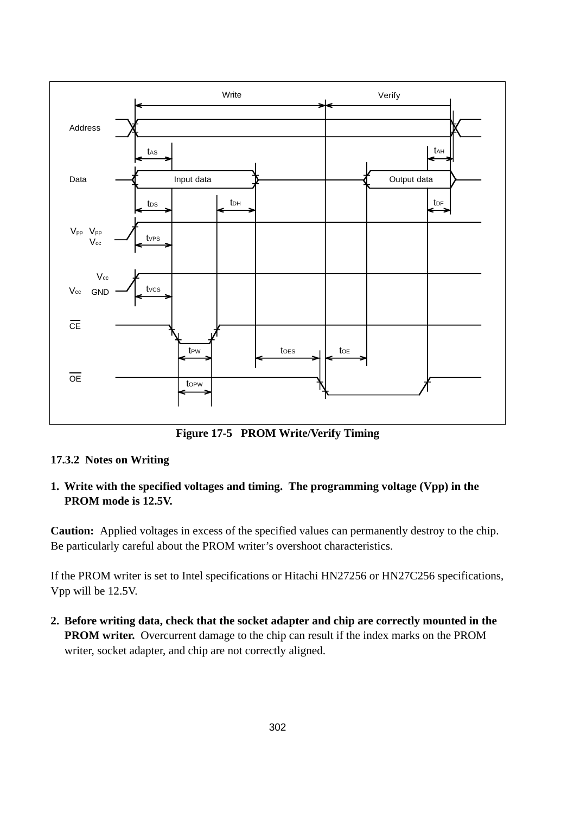

**Figure 17-5 PROM Write/Verify Timing**

#### **17.3.2 Notes on Writing**

**1. Write with the specified voltages and timing. The programming voltage (Vpp) in the PROM mode is 12.5V.**

**Caution:** Applied voltages in excess of the specified values can permanently destroy to the chip. Be particularly careful about the PROM writer's overshoot characteristics.

If the PROM writer is set to Intel specifications or Hitachi HN27256 or HN27C256 specifications, Vpp will be 12.5V.

**2. Before writing data, check that the socket adapter and chip are correctly mounted in the PROM writer.** Overcurrent damage to the chip can result if the index marks on the PROM writer, socket adapter, and chip are not correctly aligned.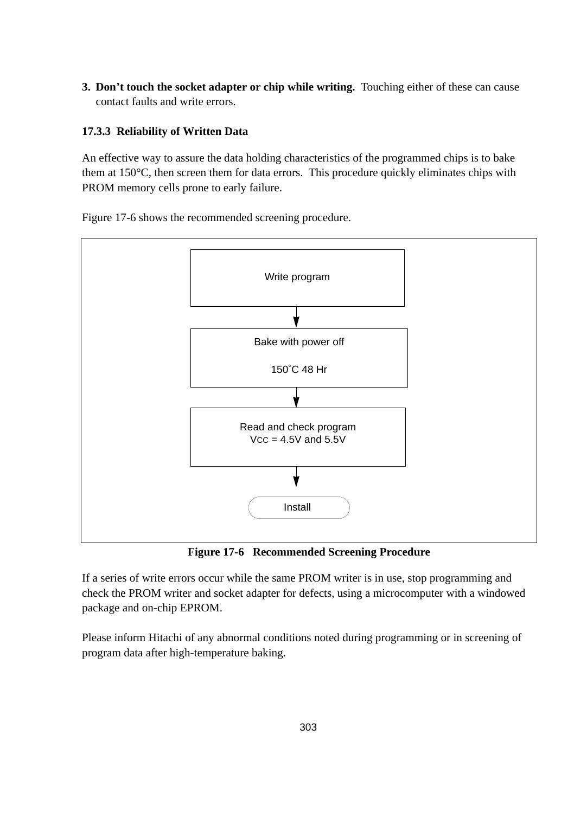**3. Don't touch the socket adapter or chip while writing.** Touching either of these can cause contact faults and write errors.

#### **17.3.3 Reliability of Written Data**

An effective way to assure the data holding characteristics of the programmed chips is to bake them at 150°C, then screen them for data errors. This procedure quickly eliminates chips with PROM memory cells prone to early failure.





**Figure 17-6 Recommended Screening Procedure**

If a series of write errors occur while the same PROM writer is in use, stop programming and check the PROM writer and socket adapter for defects, using a microcomputer with a windowed package and on-chip EPROM.

Please inform Hitachi of any abnormal conditions noted during programming or in screening of program data after high-temperature baking.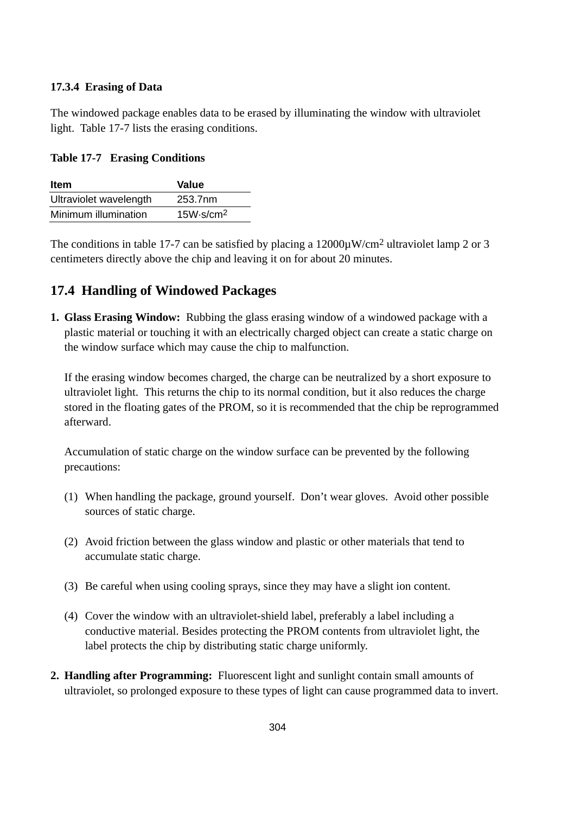#### **17.3.4 Erasing of Data**

The windowed package enables data to be erased by illuminating the window with ultraviolet light. Table 17-7 lists the erasing conditions.

**Table 17-7 Erasing Conditions**

| <b>Item</b>            | Value                 |
|------------------------|-----------------------|
| Ultraviolet wavelength | 253.7nm               |
| Minimum illumination   | 15W·s/cm <sup>2</sup> |

The conditions in table 17-7 can be satisfied by placing a  $12000\mu\text{W/cm}^2$  ultraviolet lamp 2 or 3 centimeters directly above the chip and leaving it on for about 20 minutes.

# **17.4 Handling of Windowed Packages**

**1. Glass Erasing Window:** Rubbing the glass erasing window of a windowed package with a plastic material or touching it with an electrically charged object can create a static charge on the window surface which may cause the chip to malfunction.

If the erasing window becomes charged, the charge can be neutralized by a short exposure to ultraviolet light. This returns the chip to its normal condition, but it also reduces the charge stored in the floating gates of the PROM, so it is recommended that the chip be reprogrammed afterward.

Accumulation of static charge on the window surface can be prevented by the following precautions:

- (1) When handling the package, ground yourself. Don't wear gloves. Avoid other possible sources of static charge.
- (2) Avoid friction between the glass window and plastic or other materials that tend to accumulate static charge.
- (3) Be careful when using cooling sprays, since they may have a slight ion content.
- (4) Cover the window with an ultraviolet-shield label, preferably a label including a conductive material. Besides protecting the PROM contents from ultraviolet light, the label protects the chip by distributing static charge uniformly.
- **2. Handling after Programming:** Fluorescent light and sunlight contain small amounts of ultraviolet, so prolonged exposure to these types of light can cause programmed data to invert.